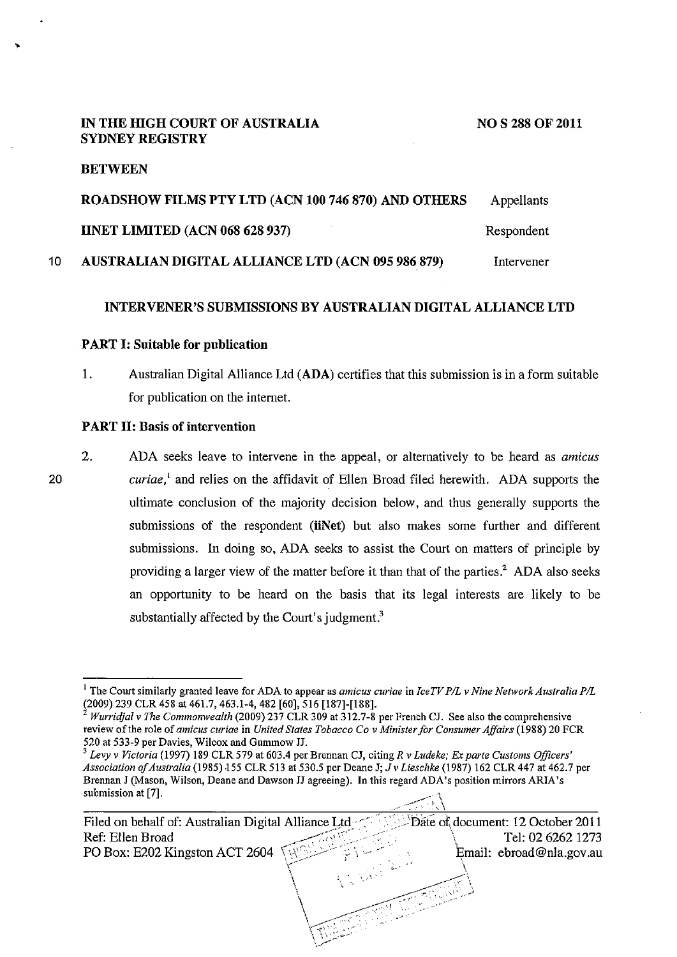#### **IN THE HIGH COURT OF AUSTRALIA SYDNEY REGISTRY**

#### **BETWEEN**

..

|    | ROADSHOW FILMS PTY LTD (ACN 100 746 870) AND OTHERS | Appellants |
|----|-----------------------------------------------------|------------|
|    | <b>IINET LIMITED (ACN 068 628 937)</b>              | Respondent |
| 10 | AUSTRALIAN DIGITAL ALLIANCE LTD (ACN 095 986 879)   | Intervener |

#### **INTERVENER'S SUBMISSIONS BY AUSTRALIAN DIGITAL ALLIANCE LTD**

#### **PART I: Suitable for publication**

1. Australian Digital Alliance Ltd **(ADA)** certifies that this submission is in a form suitable for publication on the internet.

#### **PART II: Basis of intervention**

20 2. ADA seeks leave to intervene in the appeal, or alternatively to be heard as *amicus curiae,'* and relies on the affidavit of Ellen Broad filed herewith. ADA supports the ultimate conclusion of the majority decision below, and thus generally supports the submissions of the respondent **(iiNet)** but also makes some further and different submissions. In doing so, ADA seeks to assist the Court on matters of principle by providing a larger view of the matter before it than that of the parties.<sup>2</sup> ADA also seeks an opportunity to be heard on the basis that its legal interests are likely to be substantially affected by the Court's judgment.<sup>3</sup>

 $\sim$   $\sim$ 

\ \ ,,• \I • ,,.

 $\setminus \setminus \cup_{\omega}$  . ·,\_/

<sup>&</sup>lt;sup>1</sup> The Court similarly granted leave for ADA to appear as *amicus curiae* in *IceTV P/L v Nine Network Australia P/L* (2009) 239 CLR 458 at 461.7, 463.1-4, 482 [60], 516 [187]-[188].

<sup>2</sup>*Wurricijal v The Commonwealth* (2009) 237 CLR 309 at 312.7-8 per French CJ. See also the comprehensive review of the role of *amicus curiae* in *United States Tobacco Co v Minister for Consumer Affairs* (1988) 20 FCR

<sup>&</sup>lt;sup>3</sup> Levy v Victoria (1997) 189 CLR 579 at 603.4 per Brennan CJ, citing *R v Ludeke; Ex parte Customs Officers' Association of Australia* (1985) 155 CLR 513 at 530.5 per Deane J; J *v Lieschke* (1987) 162 CLR 447 at 462.7 per **Brennan J (Mason, Wilson, Deane and Dawson JJ agreeing). In this regard ADA's position mirrors ARIA's**  submission at [7].

Filed on behalf of: Australian Digital Alliance Ltd ...  $\Box$  Date of document: 12 October 2011 Ref: Ellen Broad **Tel: 02 6262 1273** PO Box: E202 Kingston ACT 2604  $\sqrt{2}$  $\sum_{i=1}^n$  $\setminus$  $\overline{\phantom{0}}$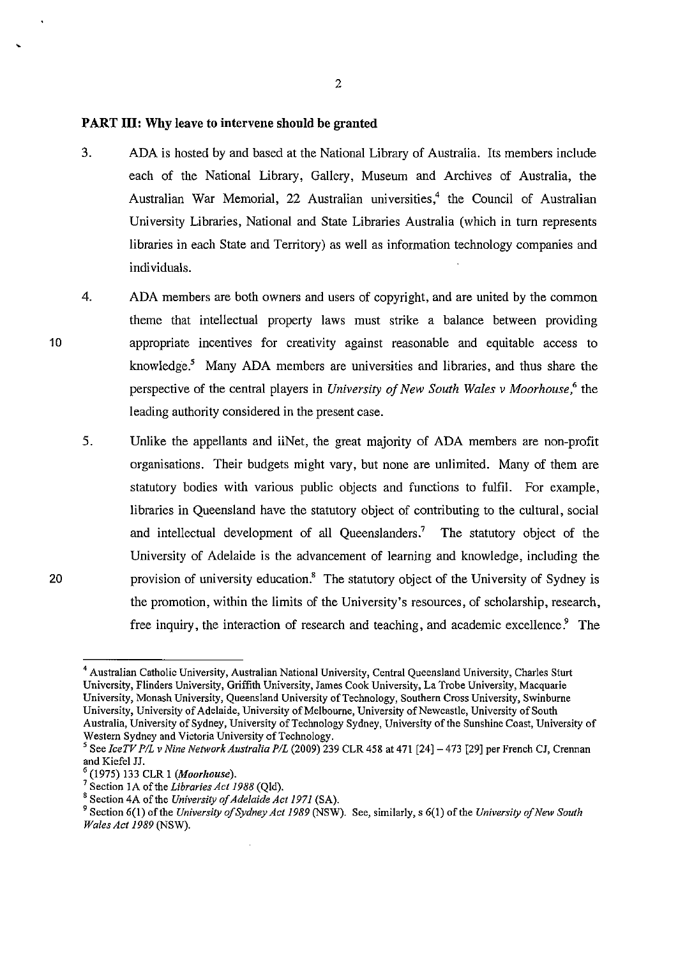# **PART III: Why leave to intervene should be granted**

- 3. ADA is hosted by and based at the National Library of Australia. Its members include each of the National Library, Gallery, Museum and Archives of Australia, the Australian War Memorial, 22 Australian universities,<sup>4</sup> the Council of Australian University Libraries, National and State Libraries Australia (which in turn represents libraries in each State and Territory) as well as information technology companies and individuals.
- 4. ADA members are both owners and users of copyright, and are united by the common theme that intellectual property laws must strike a balance between providing appropriate incentives for creativity against reasonable and equitable access to knowledge.<sup>5</sup> Many ADA members are universities and libraries, and thus share the perspective of the central players in *University of New South Wales v Moorhouse,<* the leading authority considered in the present case.
- 5. Unlike the appellants and iiNet, the great majority of ADA members are non-profit organisations. Their budgets might vary, but none are unlimited. Many of them are statutory bodies with various public objects and functions to fulfil. For example, libraries in Queensland have the statutory object of contributing to the cultural, social and intellectual development of all Queenslanders? The statutory object of the University of Adelaide is the advancement of learning and knowledge, including the provision of university education.8 The statutory object of the University of Sydney is the promotion, within the limits of the University's resources, of scholarship, research, free inquiry, the interaction of research and teaching, and academic excellence? The

2

20

<sup>4</sup>**Australian Catholic University, Australian National University, Central Queensland University, Charles Sturt University, Flinders University, Griffith University, James Cook University, LaTrobe University, Macquarie University, Monash University, Queensland University of Technology, Southern Cross University, Swinburne**  University, University of Adelaide, University of Melbourne, University of Newcastle, University of South Australia, University of Sydney, University of Technology Sydney, University of the Sunshine Coast, University of Western Sydney and Victoria University of Technology.

<sup>&</sup>lt;sup>5</sup> See *IceTV P/L v Nine Network Australia P/L* (2009) 239 CLR 458 at 471 [24] – 473 [29] per French CJ, Crennan and Kiefel JJ.

<sup>&</sup>lt;sup>6</sup> (1975) 133 CLR 1 *(Moorhouse)*.<br><sup>7</sup> Section 1A of the *Libraries Act 1988* (Qld).<br><sup>8</sup> Section 4A of the *University of Adelaide Act 1971* (SA).

<sup>&</sup>lt;sup>9</sup> Section 6(1) of the *University of Sydney Act 1989* (NSW). See, similarly, s 6(1) of the *University of New South Wales Act 1989* (NSW).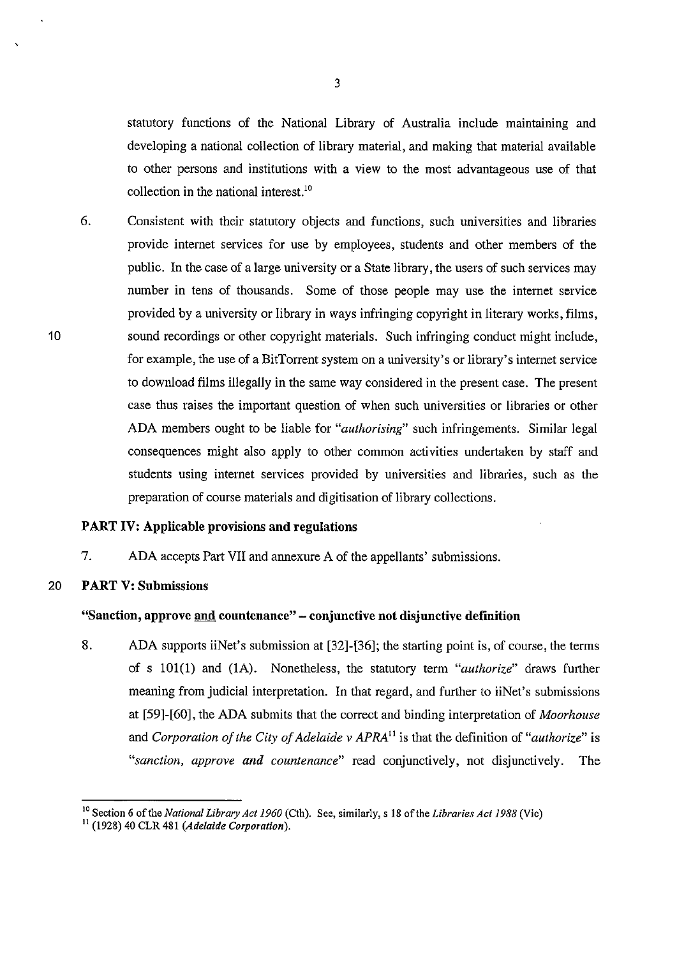statutory functions of the National Library of Australia include maintaining and developing a national collection of library material, and making that material available to other persons and institutions with a view to the most advantageous use of that collection in the national interest.<sup>10</sup>

6. Consistent with their statutory objects and functions, such universities and libraries provide internet services for use by employees, students and other members of the public. In the case of a large university or a State library, the users of such services may number in tens of thousands. Some of those people may use the internet service provided by a university or library in ways infringing copyright in literary works, films, sound recordings or other copyright materials. Such infringing conduct might include, for example, the use of a BitTorrent system on a university's or library's internet service to download films illegally in the same way considered in the present case. The present case tbus raises the important question of when such universities or libraries or other ADA members ought to be liable for *"authorising"* such infringements. Similar legal consequences might also apply to other common activities undertaken by staff and students using internet services provided by universities and libraries, such as the preparation of course materials and digitisation of library collections.

#### **PART IV: Applicable provisions and regulations**

7. ADA accepts Part VII and annexure A of the appellants' submissions.

# 20 **PART V: Submissions**

# **"Sanction, approve and countenance" - conjunctive not disjunctive definition**

8. ADA supports iiNet's submission at [32]-[36]; the starting point is, of course, the terms of s 101(1) and (lA). Nonetheless, the statutory term *"authorize"* draws further meaning from judicial interpretation. In that regard, and further to iiNet's submissions at [59]-[60], the ADA submits that the correct and binding interpretation of *Moorhouse*  and *Corporation of the City of Adelaide v APRA"* is that tbe definition of *"authorize"* is *"sanction, approve and countenance"* read conjunctively, not disjunctively. The

10

'

<sup>&</sup>lt;sup>10</sup> Section 6 of the *National Library Act 1960* (Cth). See, similarly, s 18 of the *Libraries Act 1988* (Vic)<sup>11</sup> (1928) 40 CLR 481 *(Adelaide Corporation)*.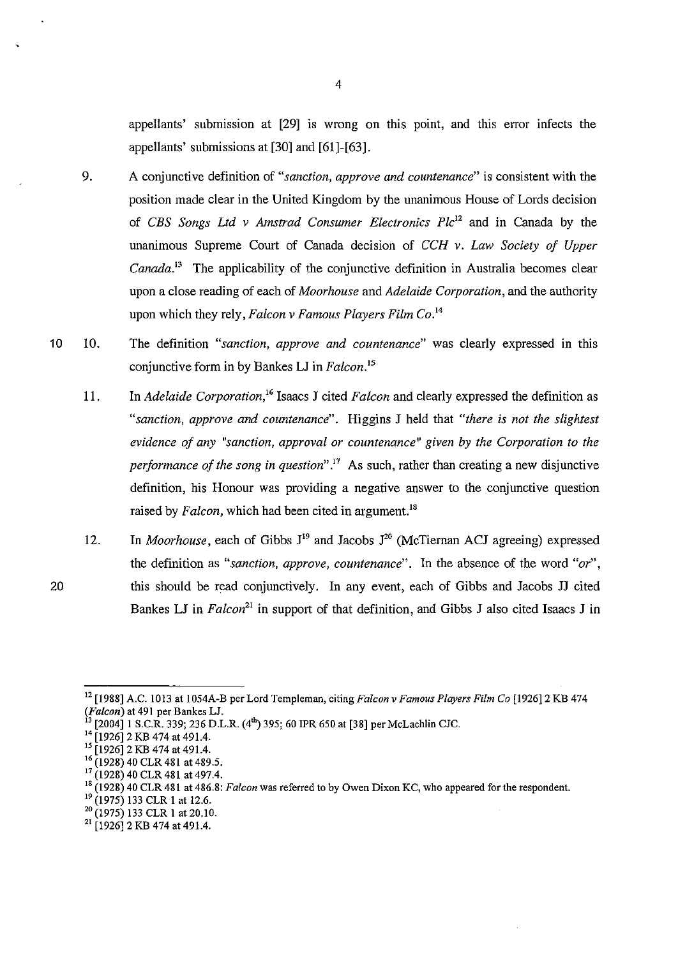appellants' submission at [29] is wrong on this point, and this error infects the appellants' submissions at [30] and [61]-[63].

- 9. A conjunctive definition of *"sanction, approve and countenance"* is consistent with the position made clear in the United Kingdom by the unanimous House of Lords decision of *CBS Songs Ltd v Amstrad Consumer Electronics Plc*<sup>12</sup>and in Canada by the unanimous Supreme Court of Canada decision of *CCH v. Law Society of Upper Canada*.<sup>13</sup> The applicability of the conjunctive definition in Australia becomes clear upon a close reading of each of *Moorhouse* and *Adelaide Corporation,* and the authority upon which they rely, *Falcon v Famous Players Film Co. <sup>14</sup>*
- 10 10. The definition *"sanction, approve and countenance"* was clearly expressed in this conjunctive form in by Bankes LJ in *Falcon.* <sup>15</sup>
	- 11. In *Adelaide Corporation/<sup>6</sup>*Isaacs J cited *Falcon* and clearly expressed the definition as *"sanction, approve and countenance".* Higgins J held that *"there is not the slightest evidence of any "sanction, approval or countenance" given by the Corporation to the performance of the song in question"* . 17 As such, rather than creating a new disjunctive definition, his Honour was providing a negative answer to the conjunctive question raised by *Falcon*, which had been cited in argument.<sup>18</sup>
	- 12. In *Moorhouse*, each of Gibbs  $J^{19}$  and Jacobs  $J^{20}$  (McTiernan ACJ agreeing) expressed the definition as *"sanction, approve, countenance".* In the absence of the word *"or",*  this should be read conjunctively. In any event, each of Gibbs and Jacobs JJ cited Bankes LJ in *Falcon*<sup>21</sup> in support of that definition, and Gibbs J also cited Isaacs J in

<sup>12 [1988]</sup> A.C. 1013 at 1054A-B per Lord Templeman, citing *Falcon v Famous Players Film Co* [1926]2 KB 474

*f*3 [2004] 1 S.C.R. 339; 236 D.L.R. (4<sup>th</sup>) 395; 60 IPR 650 at [38] per McLachlin CJC.<br><sup>14</sup> [1926] 2 KB 474 at 491.4.<br><sup>15</sup> [1926] 2 KB 474 at 491.4.

 $^{16}$  (1928) 40 CLR 481 at 489.5.<br><sup>17</sup> (1928) 40 CLR 481 at 497.4.

<sup>&</sup>lt;sup>18</sup> (1928) 40 CLR 481 at 486.8: *Falcon* was referred to by Owen Dixon KC, who appeared for the respondent.<br><sup>19</sup> (1975) 133 CLR 1 at 12.6.

 $\frac{20}{21}$  (1975) 133 CLR 1 at 20.10.<br><sup>21</sup> [1926] 2 KB 474 at 491.4.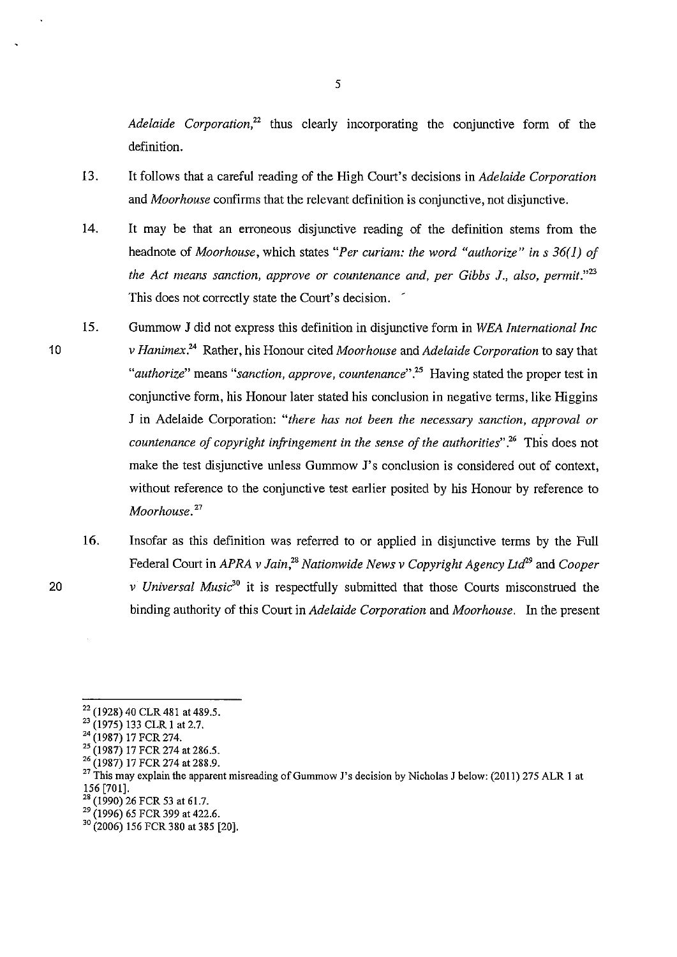*Adelaide Corporation*<sup>22</sup> thus clearly incorporating the conjunctive form of the definition.

- 13. It follows that a careful reading of the High Court's decisions in *Adelaide Corporation*  and *Moorhouse* confirms that the relevant definition is conjunctive, not disjunctive.
- 14. It may be that an erroneous disjunctive reading of the definition stems from the headnote of *Moorhouse,* which states *"Per curiam: the word "authorize" ins 36(1) of the Act means sanction, approve or countenance and, per Gibbs 1., also, permit."13*  This does not correctly state the Court's decision. '
- 15. Gummow **J** did not express this definition in disjunctive form in *WEA International Inc v Hanimex.<sup>24</sup>*Rather, his Honour cited *Moorhouse* and *Adelaide Corporation* to say that *"authorize"* means *"sanction, approve, countenance".25* Having stated the proper test in conjunctive form, his Honour later stated his conclusion **in** negative terms, like Higgins J in Adelaide Corporation: *"there has not been the necessary sanction, approval or countenance of copyright infringement in the sense of the authorities"* .'6 This does not make the test disjunctive unless Gummow J's conclusion is considered out of context, without reference to the conjunctive test earlier posited by his Honour by reference to *Moorhouse.* <sup>27</sup>
	- 16. Insofar as this definition was referred to or applied in disjunctive terms by the Full Federal Court in *APRA v Jain,28 Nationwide News v Copyright Agency Ltd''* and *Cooper v Universal Music*<sup>30</sup> it is respectfully submitted that those Courts misconstrued the binding authority of this Court in *Adelaide Corporation* and *Moorhouse.* In the present

5

<sup>&</sup>lt;sup>22</sup> (1928) 40 CLR 481 at 489.5.<br>
<sup>23</sup> (1975) 133 CLR 1 at 2.7.<br>
<sup>24</sup> (1987) 17 FCR 274 at 286.5.<br>
<sup>25</sup> (1987) 17 FCR 274 at 288.9.<br>
<sup>26</sup> (1987) 17 FCR 274 at 288.9.<br>
<sup>26</sup> (1987) 17 FCR 274 at 288.9.<br>
<sup>27</sup> This may explai

 $^{28}$  (1990) 26 FCR 53 at 61.7.<br><sup>29</sup> (1996) 65 FCR 399 at 422.6.

<sup>&</sup>lt;sup>30</sup> (2006) 156 FCR 380 at 385 [20].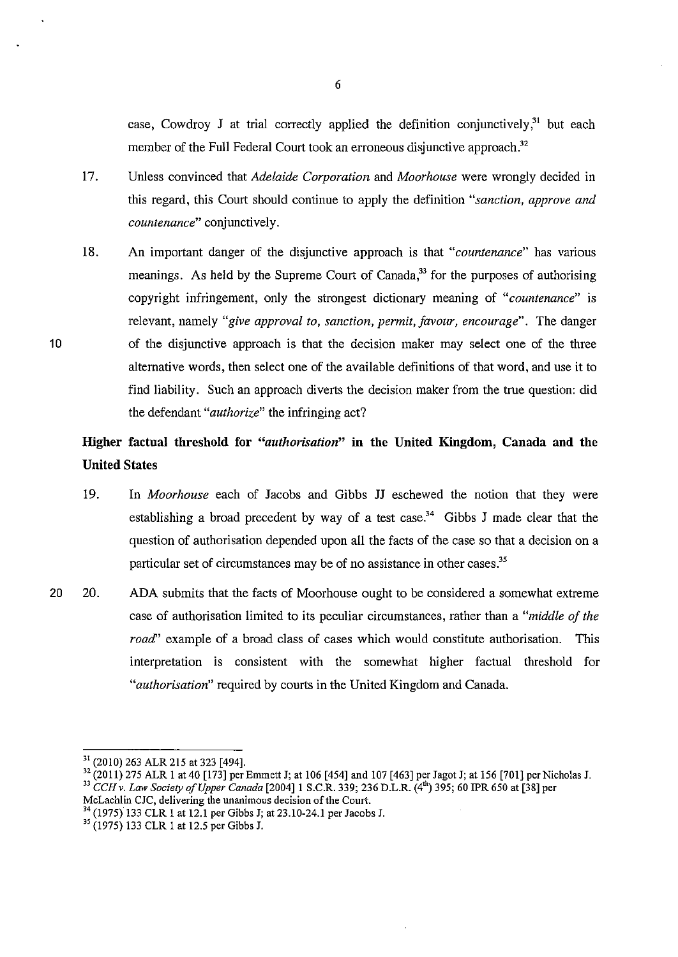case, Cowdroy J at trial correctly applied the definition conjunctively.<sup>31</sup> but each member of the Full Federal Court took an erroneous disjunctive approach.<sup>32</sup>

- 17. Unless convinced that *Adelaide Corporation* and *Moorhouse* were wrongly decided in this regard, this Court should continue to apply the definition *"sanction, approve and countenance"* conjunctively.
- 18. An important danger of the disjunctive approach is that *"countenance"* has vanous meanings. As held by the Supreme Court of Canada,<sup>33</sup> for the purposes of authorising copyright infringement, only the strongest dictionary meaning of *"countenance"* is relevant, namely *"give approval to, sanction, permit, favour, encourage".* The danger of the disjunctive approach is that the decision maker may select one of the three alternative words, then select one of the available definitions of that word, and use it to find liability. Such an approach diverts the decision maker from the true question: did the defendant *"authorize"* the infringing act?

# Higher factual threshold for *"authorisation"* in the United Kingdom, Canada and the United States

- 19. In *Moorhouse* each of Jacobs and Gibbs JJ eschewed the notion that they were establishing a broad precedent by way of a test case.<sup>34</sup> Gibbs J made clear that the question of authorisation depended upon all the facts of the case so that a decision on a particular set of circumstances may be of no assistance in other cases.<sup>35</sup>
- 20 20. ADA submits that the facts of Moorhouse ought to be considered a somewhat extreme case of authorisation limited to its peculiar circumstances, rather than a *"middle of the road*" example of a broad class of cases which would constitute authorisation. This interpretation is consistent with the somewhat higher factual threshold for *"authorisation"* required by courts in the United Kingdom and Canada.

10

 $\frac{31}{1}$  (2010) 263 ALR 215 at 323 [494].

 $32$  (2011) 275 ALR 1 at 40 [173] per Emmett J; at 106 [454] and 107 [463] per Jagot J; at 156 [701] per Nicholas J. <sup>33</sup> CCH v. Law Society of Upper Canada [2004] 1 S.C.R. 339; 236 D.L.R. (4<sup>th</sup>) 395; 60 IPR 650 at [38] per McLachlin CJC, delivering the unanimous decision of the Court.

 $^{34}$  (1975) 133 CLR 1 at 12.1 per Gibbs J; at 23.10-24.1 per Jacobs J.<br><sup>35</sup> (1975) 133 CLR 1 at 12.5 per Gibbs J.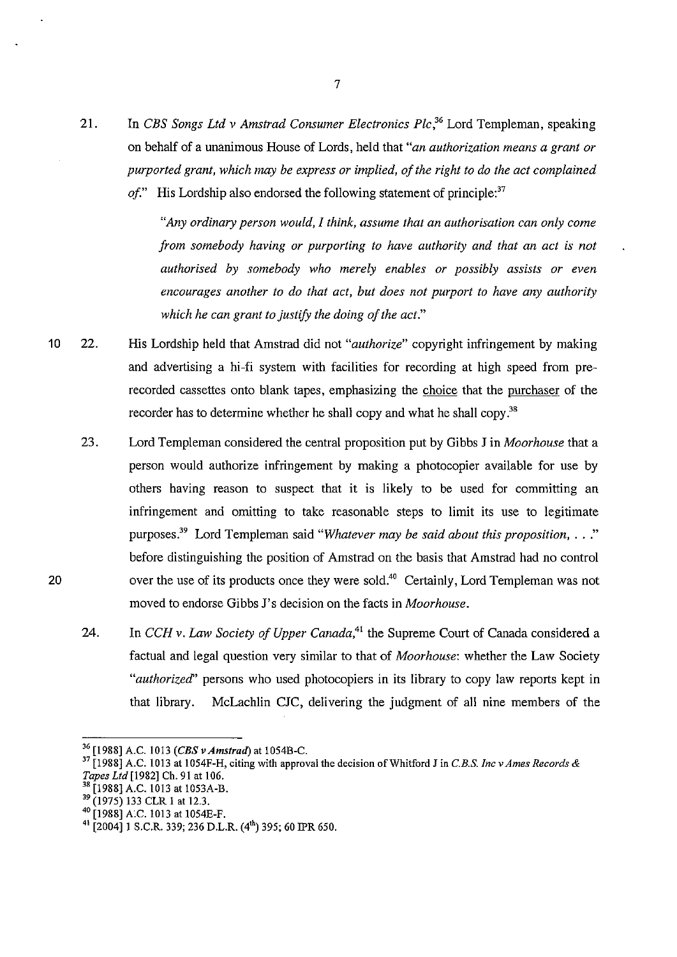21. In *CBS Songs Ltd v Amstrad Consumer Electronics Plc,36* Lord Templeman, speaking on behalf of a unanimous House of Lords, held that *"an authorization means a grant or purported grant, which may be express or implied, of the right to do the act complained of.*" His Lordship also endorsed the following statement of principle:<sup>37</sup>

> *"Any ordinary person would, I think, assume that an authorisation can only come from somebody having or purporting to have authority and that an act is not authorised by somebody who merely enables or possibly assists or even encourages another to do that act, but does not purport to have any authority which he can grant to justify the doing of the act."*

- 10 22. His Lordship held that Amstrad did not *"authorize"* copyright infringement by making and advertising a hi-fi system with facilities for recording at high speed from prerecorded cassettes onto blank tapes, emphasizing the choice that the purchaser of the recorder has to determine whether he shall copy and what he shall copy.<sup>38</sup>
	- 23. Lord Templeman considered the central proposition put by Gibbs J in *Moorhouse* that a person would authorize infringement by making a photocopier available for use by others having reason to suspect that it is likely to be used for committing an infringement and omitting to take reasonable steps to limit its use to legitimate purposes.<sup>39</sup>Lord Templeman said *"Whatever may be said about this proposition,* ... " before distinguishing the position of Amstrad on the basis that Amstrad had no control over the use of its products once they were sold.<sup>40</sup> Certainly, Lord Templeman was not moved to endorse Gibbs J's decision on the facts in *Moorhouse.*
	- 24. In *CCH v. Law Society of Upper Canada*,<sup>41</sup> the Supreme Court of Canada considered a factual and legal question very similar to that of *Moorhouse:* whether the Law Society *"authorized"* persons who used photocopiers in its library to copy law reports kept in that library. McLachlin CJC, delivering the judgment of all nine members of the

<sup>&</sup>lt;sup>36</sup> [1988] A.C. 1013 *(CBS v Amstrad*) at 1054B-C.<br><sup>37</sup> [1988] A.C. 1013 at 1054F-H, citing with approval the decision of Whitford J in *C.B.S. Inc v Ames Records & Tapes Ltd* [1982] Ch. 91 at 106.

<sup>&</sup>lt;sup>38</sup> [1988] A.C. 1013 at 1053A-B.<br><sup>39</sup> (1975) 133 CLR 1 at 12.3.

<sup>&</sup>lt;sup>40</sup> [1988] A.C. 1013 at 1054E-F.

 $41$ [2004] 1 S.C.R. 339; 236 D.L.R. (4<sup>th</sup>) 395; 60 IPR 650.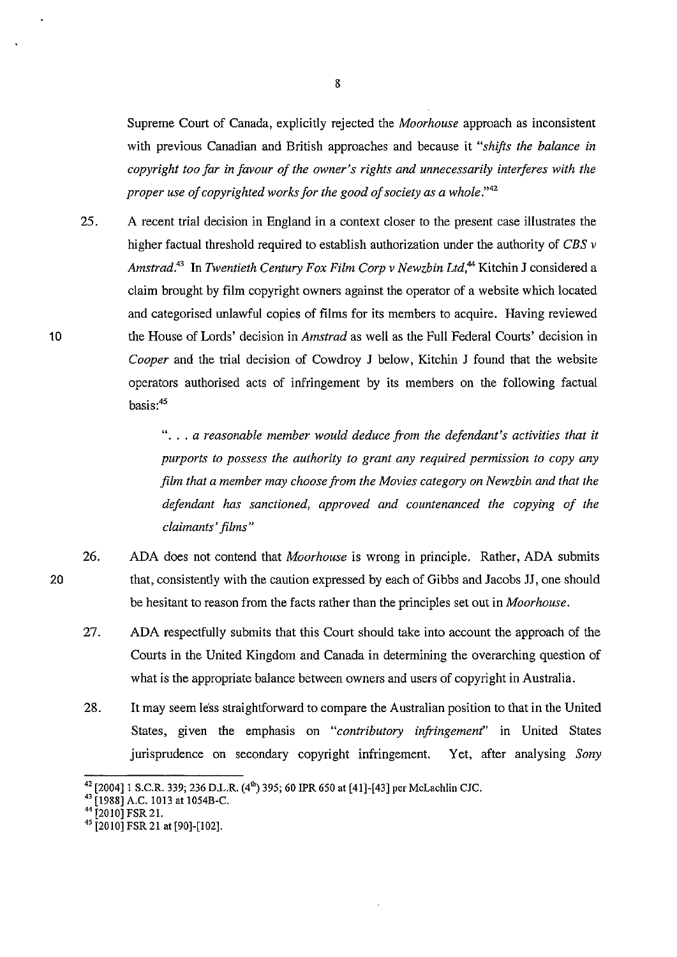Supreme Court of Canada, explicitly rejected the *Moorhouse* approach as inconsistent with previous Canadian and British approaches and because it *"shifts the balance in copyright too far in favour of the owner's rights and unnecessarily interferes with the proper use of copyrighted works for the good of society as a whole."42* 

25. A recent trial decision in England in a context closer to the present case illustrates the higher factual threshold required to establish authorization under the authority of *CBS v Amstrad.*<sup>43</sup> In *Twentieth Century Fox Film Corp v Newzbin Ltd*,<sup>44</sup> Kitchin J considered a claim brought by film copyright owners against the operator of a website which located and categorised unlawful copies of films for its members to acquire. Having reviewed the House of Lords' decision in *Amstrad* as well as the Full Federal Courts' decision in *Cooper* and the trial decision of Cowdroy J below, Kitchin J found that the website operators authorised acts of infringement by its members on the following factual basis:<sup>45</sup>

> " ... *a reasonable member would deduce from the defendant's activities that it purports to possess the authority to grant any required permission to copy any film that a member may choose from the Movies category on Newzbin and that the defendant has sanctioned, approved and countenanced the copying of the claimants' films"*

- 26. ADA does not contend that *Moorhouse* is wrong in principle. Rather, ADA submits that, consistently with the caution expressed by each of Gibbs and Jacobs JJ, one should be hesitant to reason from the facts rather than the principles set out in *Moorhouse.*
- 27. ADA respectfully submits that this Court should take into account the approach of the Courts in the United Kingdom and Canada in determining the overarching question of what is the appropriate balance between owners and users of copyright in Australia.
- 28. It may seem less straightforward to compare the Australian position to that in the United States, given the emphasis on *"contributory infringement"* in United States jurisprudence on secondary copyright infringement. Yet, after analysing *Sony*

10

<sup>&</sup>lt;sup>42</sup> [2004] 1 S.C.R. 339; 236 D.L.R. (4<sup>th</sup>) 395; 60 IPR 650 at [41]-[43] per McLachlin CJC.<br><sup>43</sup> [1988] A.C. 1013 at 1054B-C.<br><sup>44</sup> [2010] FSR 21. 4<sup>5</sup> [2010] FSR 21 at [90]-[102].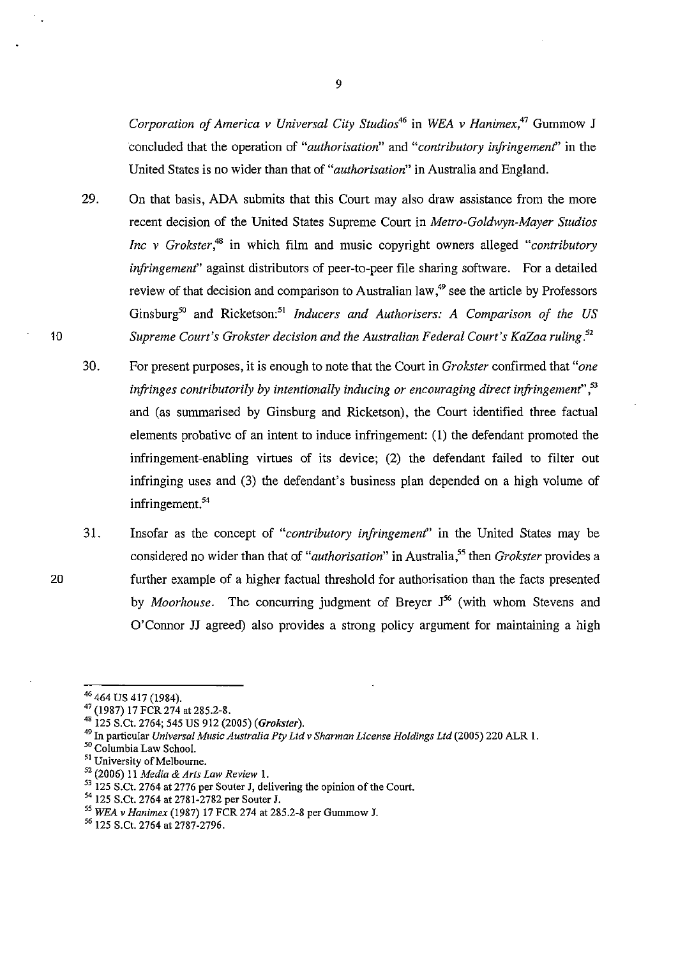*Corporation of America v Universal City Studios*<sup>46</sup>in *WEA v Hanimex,4*<sup>7</sup>Gummow J concluded that the operation of *"authorisation"* and *"contributory infringement'* in the United States is no wider than that of *"authorisation"* in Australia and England.

- 29. On that basis, ADA submits that this Court may also draw assistance from the more recent decision of the United States Supreme Court in *Metro-Goldwyn-Mayer Studios Inc v Grokster,48* in which film and music copyright owners alleged *"contributory infringement'* against distributors of peer-to-peer file sharing software. For a detailed review of that decision and comparison to Australian law.<sup>49</sup> see the article by Professors Ginsburg<sup>50</sup> and Ricketson:<sup>51</sup> Inducers and Authorisers: A Comparison of the US *Supreme Court's Grokster decision and the Australian Federal Court's KaZaa ruling.<sup>52</sup>*
- 30. For present purposes, it is enough to note that the Court in *Grokster* confirmed that *"one infringes contributorily by intentionally inducing or encouraging direct infringement'* , 53 and (as summarised by Ginsburg and Ricketson), the Court identified three factual elements probative of an intent to induce infringement: (1) the defendant promoted the infringement-enabling virtues of its device; (2) the defendant failed to filter out infringing uses and  $(3)$  the defendant's business plan depended on a high volume of infringement.<sup>54</sup>
- 31. Insofar as the concept of *"contributory infringement"* in the United States may be considered no wider than that of "*authorisation*" in Australia,<sup>55</sup> then *Grokster* provides a further example of a higher factual threshold for authorisation than the facts presented by *Moorhouse.* The concurring judgment of Breyer J 56 (with whom Stevens and O'Connor JJ agreed) also provides a strong policy argument for maintaining a high

<sup>&</sup>lt;sup>46</sup> 464 US 417 (1984).<br><sup>47</sup> (1987) 17 FCR 274 at 285.2-8.<br><sup>48</sup> 125 S.Ct. 2764; 545 US 912 (2005) *(Grokster)*.

<sup>&</sup>lt;sup>49</sup> In particular *Universal Music Australia Pty Ltd v Sharman License Holdings Ltd* (2005) 220 ALR 1.<br><sup>50</sup> Columbia Law School.

<sup>&</sup>lt;sup>51</sup> University of Melbourne.

<sup>52 (2006) 11</sup> *Media* & *Arts Law Review* 1.

 $^{53}$  125 S.Ct. 2764 at 2776 per Souter J, delivering the opinion of the Court.<br><sup>54</sup> 125 S.Ct. 2764 at 2781-2782 per Souter J.

*<sup>55</sup> WEA v Hanimex* (1987) 17 FCR 274 at 285.2-8 per Gummow J.

<sup>56 125</sup> S.Ct. 2764 at 2787-2796.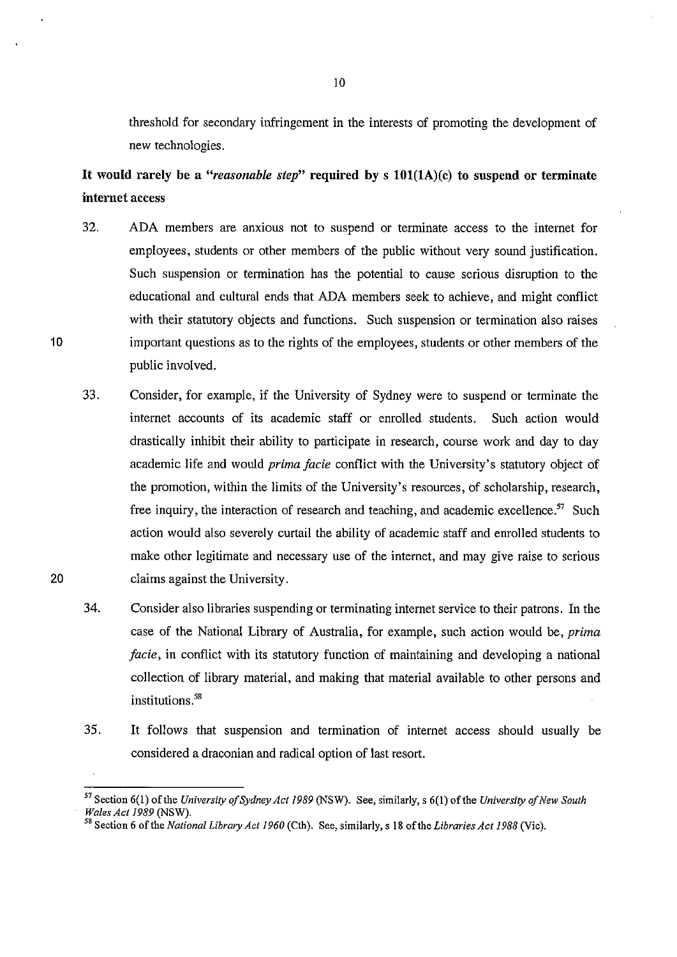threshold for secondary infringement in the interests of promoting the development of new technologies.

**It would rarely be** a *"reasonable step"* **required** by s **101(1A)(c) to suspend or terminate internet** access

- 32. ADA members are anxious not to suspend or terminate access to the internet for employees, students or other members of the public without very sound justification. Such suspension or termination has the potential to cause serious disruption to the educational and cultural ends that ADA members seek to achieve, and might conflict with their statutory objects and functions. Such suspension or termination also raises important questions as to the rights of the employees, students or other members of the public involved.
- 33. Consider, for example, if the University of Sydney were to suspend or terminate the internet accounts of its academic staff or enrolled students. Such action would drastically inhibit their ability to participate in research, course work and day to day academic life and would *prima facie* conflict with the University's statutory object of the promotion, within the limits of the University's resources, of scholarship, research, free inquiry, the interaction of research and teaching, and academic excellence.<sup>57</sup> Such action would also severely curtail the ability of academic staff and enrolled students to make other legitimate and necessary use of the internet, and may give raise to serious claims against the University.
- 34. Consider also libraries suspending or terminating internet service to their patrons. In the case of the National Library of Australia, for example, such action would be, *prima facie,* in conflict with its statutory function of maintaining and developing a national collection of library material, and making that material available to other persons and institutions.<sup>58</sup>
- 35. It follows that suspension and termination of internet access should usually be considered a draconian and radical option of last resort.

20

<sup>57</sup> Section 6(1) of the *University of Sydney Act 1989* (NSW). See, similarly, s 6(1) of the *University of New South* 

*Wales Act 1989* (NSW). 58 Section 6 of the *National Library Act 1960* (Cth). See, similarly, s 18 of the *Libraries Act 1988* (Vic).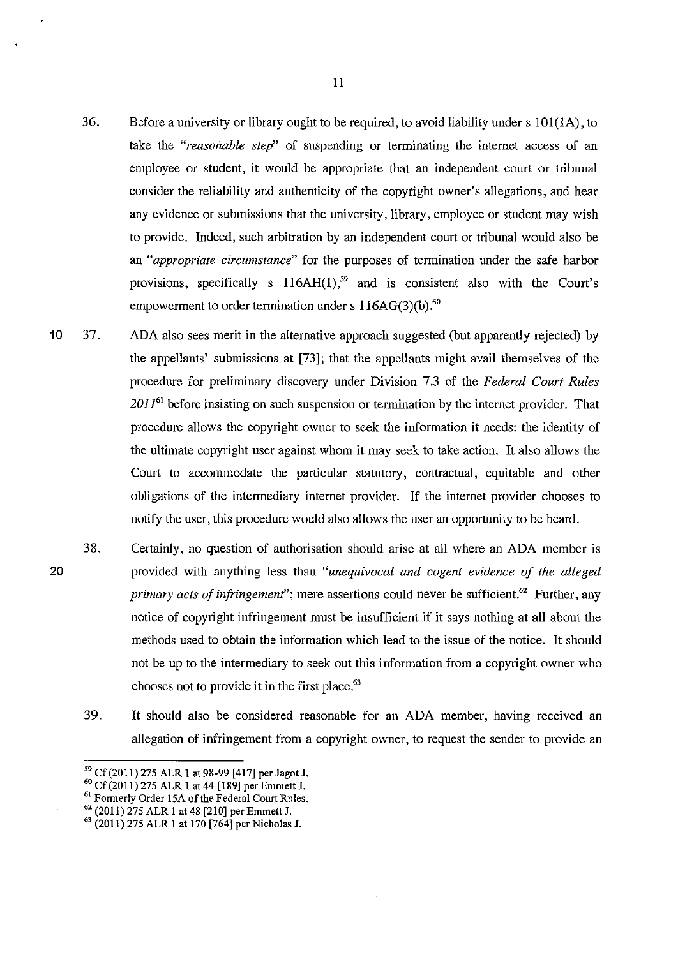- 36. Before a university or library ought to be required, to avoid liability under s lOl(lA), to take the *"reasonable step"* of suspending or terminating the internet access of an employee or student, it would be appropriate that an independent court or tribunal consider the reliability and authenticity of the copyright owner's allegations, and hear any evidence or submissions that the university, library, employee or student may wish to provide. Indeed, such arbitration by an independent court or tribunal would also be an *"appropriate circumstance"* for the purposes of termination under the safe harbor provisions, specifically s  $116AH(1)$ ,<sup>59</sup> and is consistent also with the Court's empowerment to order termination under s  $116AG(3)(b)$ .<sup>60</sup>
- 10 37. ADA also sees merit in the alternative approach suggested (but apparently rejected) by the appellants' submissions at [73]; that the appellants might avail themselves of the procedure for preliminary discovery under Division 7.3 of the *Federal Court Rules 201161* before insisting on such suspension or termination by the internet provider. That procedure allows the copyright owner to seek the information it needs: the identity of the ultimate copyright user against whom it may seek to take action. It also allows the Court to accommodate the particular statutory, contractual, equitable and other obligations of the intermediary internet provider. If the internet provider chooses to notify the user, this procedure would also allows the user an opportunity to be heard.
	- 38. Certainly, no question of authorisation should arise at all where an ADA member is provided with anything less than *"unequivocal and cogent evidence of the alleged primary acts of infringement*"; mere assertions could never be sufficient.<sup>62</sup> Further, any notice of copyright infringement must be insufficient if it says nothing at all about the methods used to obtain the information which lead to the issue of the notice. It should not be up to the intermediary to seek out this information from a copyright owner who chooses not to provide it in the first place. $63$ 
		- 39. It should also be considered reasonable for an ADA member, having received an allegation of infringement from a copyright owner, to request the sender to provide an

° Cf (20 11) 275 ALR 1 at 44 [189] per Emmett J. 61 Formerly Order !SA of the Federal Court Rules.

*<sup>59</sup>*Cf(2011) 275 ALR 1 at 98-99 [417] per Jagot J. 6

 $62$  (2011) 275 ALR 1 at 48 [210] per Emmett J.<br> $63$  (2011) 275 ALR 1 at 170 [764] per Nicholas J.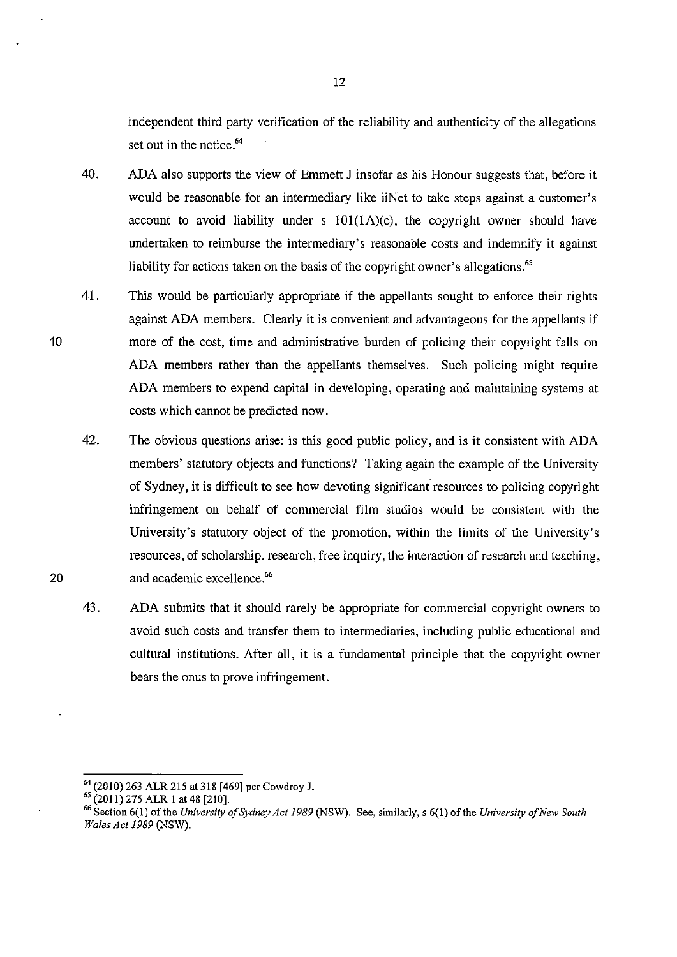independent third party verification of the reliability and authenticity of the allegations set out in the notice.<sup>64</sup>

- 40. ADA also supports the view of Emmett J insofar as his Honour suggests that, before it would be reasonable for an intermediary like iiNet to take steps against a customer's account to avoid liability under s  $101(1A)(c)$ , the copyright owner should have undertaken to reimburse the intermediary's reasonable costs and indemnify it against liability for actions taken on the basis of the copyright owner's allegations.<sup>65</sup>
- 41. This would be particularly appropriate if the appellants sought to enforce their rights against ADA members. Clearly it is convenient and advantageous for the appellants if more of the cost, time and administrative burden of policing their copyright falls on ADA members rather than the appellants themselves. Such policing might require ADA members to expend capital in developing, operating and maintaining systems at costs which cannot be predicted now.
- 42. The obvious questions arise: is this good public policy, and is it consistent with ADA members' statutory objects and functions? Taking again the example of the University of Sydney, it is difficult to see how devoting significant resources to policing copyright infringement on behalf of commercial film studios would be consistent with the University's statutory object of the promotion, within the limits of the University's resources, of scholarship, research, free inquiry, the interaction of research and teaching, and academic excellence.<sup>66</sup>
- 43. ADA submits that it should rarely be appropriate for commercial copyright owners to avoid such costs and transfer them to intermediaries, including public educational and cultural institutions. After all, it is a fundamental principle that the copyright owner bears the onus to prove infringement.

20

<sup>&</sup>lt;sup>64</sup> (2010) 263 ALR 215 at 318 [469] per Cowdroy J.<br><sup>65</sup> (2011) 275 ALR 1 at 48 [210].<br><sup>66</sup> Section 6(1) of the *University of Sydney Act 1989* (NSW). See, similarly, s 6(1) of the *University of New South Wales Act 1989* (NSW).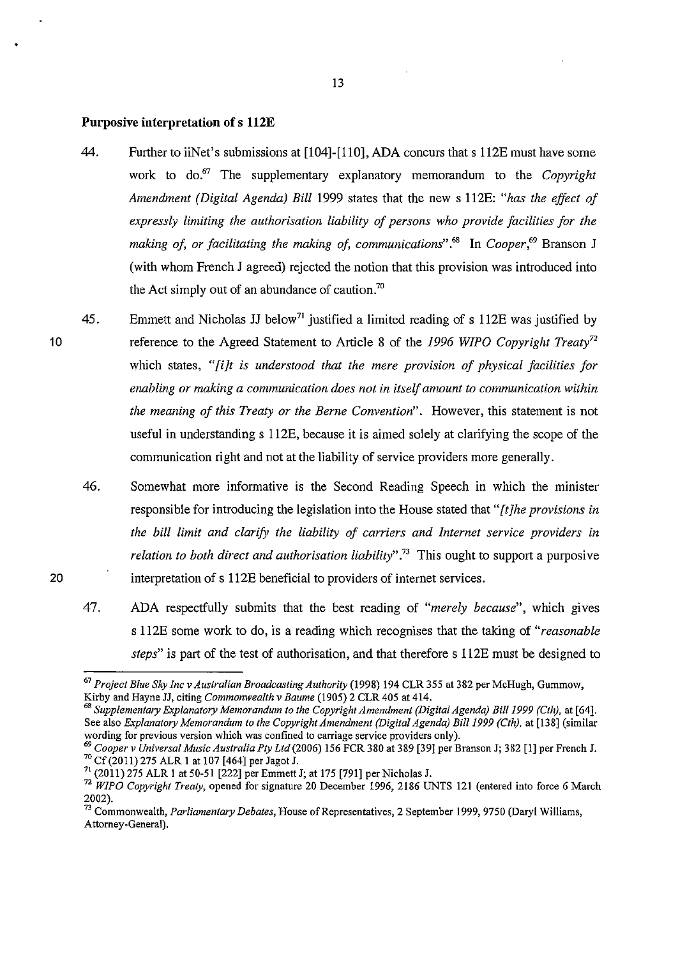#### **Purposive interpretation of s 112E**

- 44. Further to iiNet's submissions at [104]-[110], ADA concurs that s 112E must have some work to do.<sup>67</sup> The supplementary explanatory memorandum to the *Copyright Amendment (Digital Agenda) Bill* 1999 states that the new s 112E: *"has the effect of expressly limiting the authorisation liability of persons who provide facilities for the*  making of, or facilitating the making of, communications".<sup>68</sup> In Cooper,<sup>69</sup> Branson J (with whom French J agreed) rejected the notion that this provision was introduced into the Act simply out of an abundance of caution.<sup>70</sup>
- 45. Emmett and Nicholas JJ below<sup>71</sup> justified a limited reading of s 112E was justified by reference to the Agreed Statement to Article 8 of the *1996 WIPO Copyright Treaty72*  which states, *"[i]t is understood that the mere provision of physical facilities for enabling or making a communication does not in itself amount to communication within the meaning of this Treaty or the Berne Convention".* However, this statement is not useful in understanding s 112E, because it is aimed solely at clarifying the scope of the communication right and not at the liability of service providers more generally.
	- 46. Somewhat more informative is the Second Reading Speech in which the minister responsible for introducing the legislation into the House stated that *"[t]he provisions in the bill limit and clarify the liability of carriers and Internet service providers in*  relation to both direct and authorisation liability".<sup>73</sup> This ought to support a purposive interpretation of s 112E beneficial to providers of internet services.
	- 47. ADA respectfully submits that the best reading of *"merely because",* which gives s 112E some work to do, is a reading which recognises that the taking of *"reasonable steps"* is part of the test of authorisation, and that therefore s 112E must be designed to

20

<sup>67</sup>*Project Blue Sky Inc v Australian Broadcasting Authority* (1998) 194 CLR 355 at 382 per McHugh, Gummow, Kirby and Hayne JJ, citing *Commonwealth v Baume* (1905) 2 CLR 405 at 414.

<sup>&</sup>lt;sup>68</sup> Supplementary Explanatory Memorandum to the Copyright Amendment (Digital Agenda) Bill 1999 (Cth), at [64]. See also *Explanatory Memorandum to the Copyright Amendment (Digital Agenda) Bill 1999 (Cth)*, at [138] (similar wording for previous version which was confined to carriage service providers only).

<sup>&</sup>lt;sup>69</sup> Cooper v Universal Music Australia Pty Ltd (2006) 156 FCR 380 at 389 [39] per Branson J; 382 [1] per French J.  $^{70}$  Cf (2011) 275 ALR 1 at 107 [464] per Jagot J.

 $^{71}$  (2011) 275 ALR 1 at 50-51 [222] per Emmett J; at 175 [791] per Nicholas J.

<sup>72</sup>*WIPO Copyright Treaty,* opened for signature 20 December 1996, 2186 UNTS 121 (entered into force 6 March 2002).

<sup>73</sup> Commonwealth, *Parliamentary Debates,* House of Representatives, 2 September 1999, 9750 (Daryl Williams, Attorney-General).